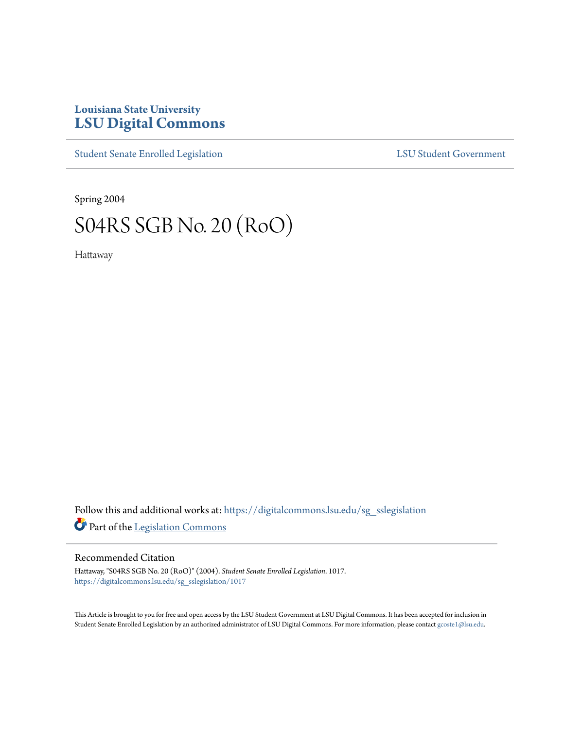## **Louisiana State University [LSU Digital Commons](https://digitalcommons.lsu.edu?utm_source=digitalcommons.lsu.edu%2Fsg_sslegislation%2F1017&utm_medium=PDF&utm_campaign=PDFCoverPages)**

[Student Senate Enrolled Legislation](https://digitalcommons.lsu.edu/sg_sslegislation?utm_source=digitalcommons.lsu.edu%2Fsg_sslegislation%2F1017&utm_medium=PDF&utm_campaign=PDFCoverPages) [LSU Student Government](https://digitalcommons.lsu.edu/sg?utm_source=digitalcommons.lsu.edu%2Fsg_sslegislation%2F1017&utm_medium=PDF&utm_campaign=PDFCoverPages)

Spring 2004

# S04RS SGB No. 20 (RoO)

Hattaway

Follow this and additional works at: [https://digitalcommons.lsu.edu/sg\\_sslegislation](https://digitalcommons.lsu.edu/sg_sslegislation?utm_source=digitalcommons.lsu.edu%2Fsg_sslegislation%2F1017&utm_medium=PDF&utm_campaign=PDFCoverPages) Part of the [Legislation Commons](http://network.bepress.com/hgg/discipline/859?utm_source=digitalcommons.lsu.edu%2Fsg_sslegislation%2F1017&utm_medium=PDF&utm_campaign=PDFCoverPages)

#### Recommended Citation

Hattaway, "S04RS SGB No. 20 (RoO)" (2004). *Student Senate Enrolled Legislation*. 1017. [https://digitalcommons.lsu.edu/sg\\_sslegislation/1017](https://digitalcommons.lsu.edu/sg_sslegislation/1017?utm_source=digitalcommons.lsu.edu%2Fsg_sslegislation%2F1017&utm_medium=PDF&utm_campaign=PDFCoverPages)

This Article is brought to you for free and open access by the LSU Student Government at LSU Digital Commons. It has been accepted for inclusion in Student Senate Enrolled Legislation by an authorized administrator of LSU Digital Commons. For more information, please contact [gcoste1@lsu.edu.](mailto:gcoste1@lsu.edu)